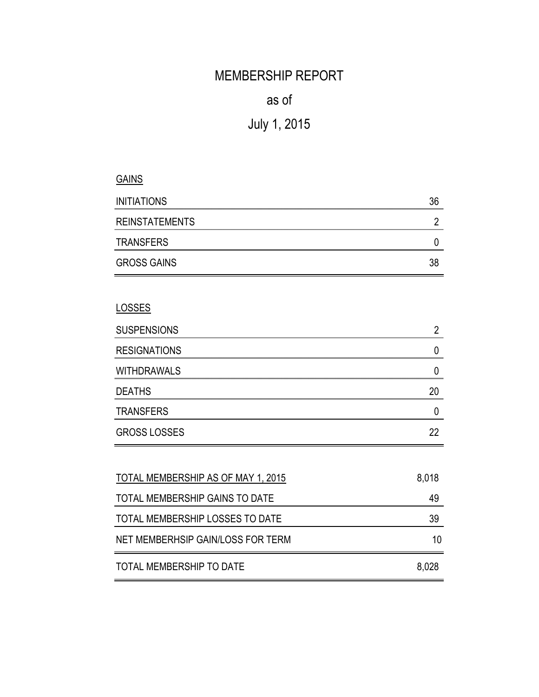# MEMBERSHIP REPORT

## as of

# July 1, 2015

### **GAINS**

| <b>INITIATIONS</b>    |  |
|-----------------------|--|
| <b>REINSTATEMENTS</b> |  |
| <b>TRANSFERS</b>      |  |
| <b>GROSS GAINS</b>    |  |

### LOSSES

| <b>SUSPENSIONS</b>  |  |
|---------------------|--|
| <b>RESIGNATIONS</b> |  |
| <b>WITHDRAWALS</b>  |  |
| <b>DEATHS</b>       |  |
| <b>TRANSFERS</b>    |  |
| <b>GROSS LOSSES</b> |  |

| TOTAL MEMBERSHIP AS OF MAY 1, 2015 | 8,018 |
|------------------------------------|-------|
| TOTAL MEMBERSHIP GAINS TO DATE     | 49    |
| TOTAL MEMBERSHIP LOSSES TO DATE    | 39    |
| NET MEMBERHSIP GAIN/LOSS FOR TERM  | 10    |
| TOTAL MEMBERSHIP TO DATE           | 8,028 |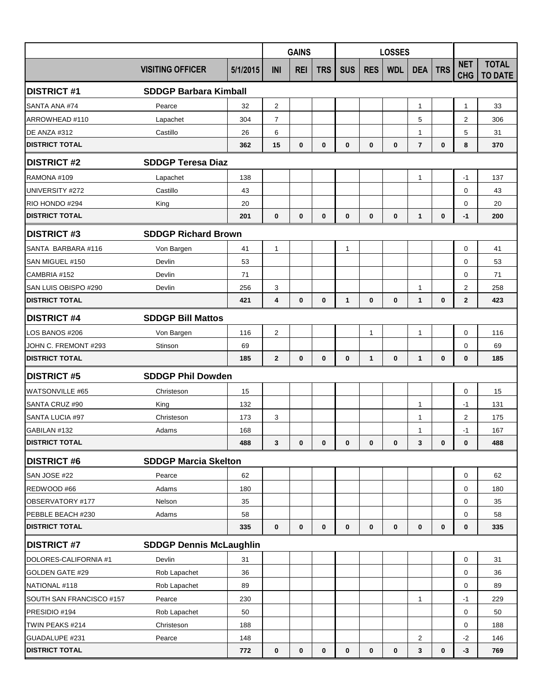|                          |                                | <b>GAINS</b> |                         |              | <b>LOSSES</b> |              |              |             |                |            |                          |                                |
|--------------------------|--------------------------------|--------------|-------------------------|--------------|---------------|--------------|--------------|-------------|----------------|------------|--------------------------|--------------------------------|
|                          | <b>VISITING OFFICER</b>        | 5/1/2015     | INI                     | <b>REI</b>   | <b>TRS</b>    | <b>SUS</b>   | <b>RES</b>   | <b>WDL</b>  | <b>DEA</b>     | <b>TRS</b> | <b>NET</b><br><b>CHG</b> | <b>TOTAL</b><br><b>TO DATE</b> |
| <b>DISTRICT#1</b>        | <b>SDDGP Barbara Kimball</b>   |              |                         |              |               |              |              |             |                |            |                          |                                |
| SANTA ANA #74            | Pearce                         | 32           | $\overline{\mathbf{c}}$ |              |               |              |              |             | $\mathbf{1}$   |            | $\mathbf{1}$             | 33                             |
| ARROWHEAD #110           | Lapachet                       | 304          | $\overline{7}$          |              |               |              |              |             | 5              |            | 2                        | 306                            |
| DE ANZA #312             | Castillo                       | 26           | 6                       |              |               |              |              |             | 1              |            | 5                        | 31                             |
| <b>DISTRICT TOTAL</b>    |                                | 362          | 15                      | $\mathbf 0$  | 0             | $\mathbf 0$  | $\bf{0}$     | $\mathbf 0$ | $\overline{7}$ | 0          | 8                        | 370                            |
| <b>DISTRICT #2</b>       | <b>SDDGP Teresa Diaz</b>       |              |                         |              |               |              |              |             |                |            |                          |                                |
| RAMONA #109              | Lapachet                       | 138          |                         |              |               |              |              |             | $\mathbf{1}$   |            | $-1$                     | 137                            |
| UNIVERSITY #272          | Castillo                       | 43           |                         |              |               |              |              |             |                |            | $\mathbf 0$              | 43                             |
| RIO HONDO #294           | King                           | 20           |                         |              |               |              |              |             |                |            | $\mathbf 0$              | 20                             |
| <b>DISTRICT TOTAL</b>    |                                | 201          | $\mathbf{0}$            | $\mathbf 0$  | 0             | $\mathbf 0$  | $\bf{0}$     | $\bf{0}$    | $\mathbf{1}$   | 0          | $-1$                     | 200                            |
| <b>DISTRICT #3</b>       | <b>SDDGP Richard Brown</b>     |              |                         |              |               |              |              |             |                |            |                          |                                |
| SANTA BARBARA #116       | Von Bargen                     | 41           | $\mathbf{1}$            |              |               | $\mathbf{1}$ |              |             |                |            | $\mathbf 0$              | 41                             |
| SAN MIGUEL #150          | Devlin                         | 53           |                         |              |               |              |              |             |                |            | 0                        | 53                             |
| CAMBRIA #152             | Devlin                         | 71           |                         |              |               |              |              |             |                |            | $\mathbf 0$              | 71                             |
| SAN LUIS OBISPO #290     | Devlin                         | 256          | 3                       |              |               |              |              |             | 1              |            | 2                        | 258                            |
| <b>DISTRICT TOTAL</b>    |                                | 421          | 4                       | $\mathbf 0$  | 0             | $\mathbf{1}$ | $\bf{0}$     | $\mathbf 0$ | $\mathbf{1}$   | 0          | $\mathbf{2}$             | 423                            |
| <b>DISTRICT #4</b>       | <b>SDDGP Bill Mattos</b>       |              |                         |              |               |              |              |             |                |            |                          |                                |
| LOS BANOS #206           | Von Bargen                     | 116          | 2                       |              |               |              | 1            |             | 1              |            | $\mathbf 0$              | 116                            |
| JOHN C. FREMONT #293     | Stinson                        | 69           |                         |              |               |              |              |             |                |            | 0                        | 69                             |
| <b>DISTRICT TOTAL</b>    |                                | 185          | $\mathbf{2}$            | $\mathbf{0}$ | 0             | $\mathbf 0$  | $\mathbf{1}$ | $\bf{0}$    | $\mathbf{1}$   | 0          | $\mathbf 0$              | 185                            |
| <b>DISTRICT #5</b>       | <b>SDDGP Phil Dowden</b>       |              |                         |              |               |              |              |             |                |            |                          |                                |
| <b>WATSONVILLE #65</b>   | Christeson                     | 15           |                         |              |               |              |              |             |                |            | $\mathbf 0$              | 15                             |
| SANTA CRUZ #90           | King                           | 132          |                         |              |               |              |              |             | $\mathbf{1}$   |            | $-1$                     | 131                            |
| SANTA LUCIA #97          | Christeson                     | 173          | 3                       |              |               |              |              |             | 1              |            | $\overline{2}$           | 175                            |
| GABILAN #132             | Adams                          | 168          |                         |              |               |              |              |             | $\mathbf{1}$   |            | $-1$                     | 167                            |
| <b>DISTRICT TOTAL</b>    |                                | 488          | 3                       | 0            | 0             | $\bf{0}$     | 0            | $\bf{0}$    | 3              | 0          | $\bf{0}$                 | 488                            |
| <b>DISTRICT #6</b>       | <b>SDDGP Marcia Skelton</b>    |              |                         |              |               |              |              |             |                |            |                          |                                |
| SAN JOSE #22             | Pearce                         | 62           |                         |              |               |              |              |             |                |            | 0                        | 62                             |
| REDWOOD #66              | Adams                          | 180          |                         |              |               |              |              |             |                |            | 0                        | 180                            |
| OBSERVATORY #177         | Nelson                         | 35           |                         |              |               |              |              |             |                |            | 0                        | 35                             |
| PEBBLE BEACH #230        | Adams                          | 58           |                         |              |               |              |              |             |                |            | 0                        | 58                             |
| <b>DISTRICT TOTAL</b>    |                                | 335          | $\mathbf 0$             | $\mathbf 0$  | 0             | 0            | $\mathbf 0$  | $\bf{0}$    | $\mathbf 0$    | 0          | $\bf{0}$                 | 335                            |
| <b>DISTRICT #7</b>       | <b>SDDGP Dennis McLaughlin</b> |              |                         |              |               |              |              |             |                |            |                          |                                |
| DOLORES-CALIFORNIA #1    | Devlin                         | 31           |                         |              |               |              |              |             |                |            | $\mathbf 0$              | 31                             |
| <b>GOLDEN GATE #29</b>   | Rob Lapachet                   | 36           |                         |              |               |              |              |             |                |            | $\mathbf 0$              | 36                             |
| NATIONAL #118            | Rob Lapachet                   | 89           |                         |              |               |              |              |             |                |            | $\mathbf 0$              | 89                             |
| SOUTH SAN FRANCISCO #157 | Pearce                         | 230          |                         |              |               |              |              |             | 1              |            | $-1$                     | 229                            |
| PRESIDIO #194            | Rob Lapachet                   | 50           |                         |              |               |              |              |             |                |            | $\mathbf 0$              | 50                             |
| TWIN PEAKS #214          | Christeson                     | 188          |                         |              |               |              |              |             |                |            | 0                        | 188                            |
| GUADALUPE #231           | Pearce                         | 148          |                         |              |               |              |              |             | 2              |            | $-2$                     | 146                            |
| <b>DISTRICT TOTAL</b>    |                                | 772          | $\mathbf 0$             | 0            | 0             | 0            | 0            | 0           | 3              | 0          | $-3$                     | 769                            |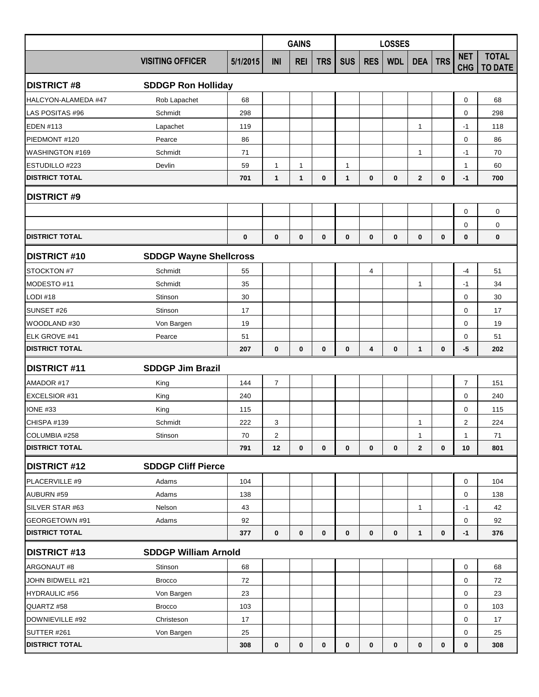|                       |                               |              |                         | <b>GAINS</b> |              |              |             | <b>LOSSES</b> |              |              |                          |                                |
|-----------------------|-------------------------------|--------------|-------------------------|--------------|--------------|--------------|-------------|---------------|--------------|--------------|--------------------------|--------------------------------|
|                       | <b>VISITING OFFICER</b>       | 5/1/2015     | INI                     | <b>REI</b>   | <b>TRS</b>   | <b>SUS</b>   | <b>RES</b>  | <b>WDL</b>    | <b>DEA</b>   | <b>TRS</b>   | <b>NET</b><br><b>CHG</b> | <b>TOTAL</b><br><b>TO DATE</b> |
| <b>DISTRICT #8</b>    | <b>SDDGP Ron Holliday</b>     |              |                         |              |              |              |             |               |              |              |                          |                                |
| HALCYON-ALAMEDA #47   | Rob Lapachet                  | 68           |                         |              |              |              |             |               |              |              | 0                        | 68                             |
| LAS POSITAS #96       | Schmidt                       | 298          |                         |              |              |              |             |               |              |              | $\mathbf 0$              | 298                            |
| <b>EDEN #113</b>      | Lapachet                      | 119          |                         |              |              |              |             |               | $\mathbf{1}$ |              | $-1$                     | 118                            |
| PIEDMONT #120         | Pearce                        | 86           |                         |              |              |              |             |               |              |              | $\mathbf 0$              | 86                             |
| WASHINGTON #169       | Schmidt                       | 71           |                         |              |              |              |             |               | 1            |              | $-1$                     | 70                             |
| ESTUDILLO #223        | Devlin                        | 59           | 1                       | 1            |              | $\mathbf{1}$ |             |               |              |              | $\mathbf{1}$             | 60                             |
| <b>DISTRICT TOTAL</b> | 701                           | $\mathbf{1}$ | 1                       | 0            | $\mathbf{1}$ | 0            | 0           | $\mathbf{2}$  | $\mathbf{0}$ | $-1$         | 700                      |                                |
| <b>DISTRICT #9</b>    |                               |              |                         |              |              |              |             |               |              |              |                          |                                |
|                       |                               |              |                         |              |              |              |             |               |              |              | $\mathbf 0$              | $\mathbf 0$                    |
| <b>DISTRICT TOTAL</b> |                               | $\bf{0}$     | $\bf{0}$                | $\mathbf{0}$ | $\mathbf{0}$ | $\mathbf{0}$ | $\mathbf 0$ | $\mathbf 0$   | $\mathbf 0$  | $\mathbf{0}$ | 0<br>$\bf{0}$            | $\mathbf 0$<br>$\bf{0}$        |
| <b>DISTRICT #10</b>   | <b>SDDGP Wayne Shellcross</b> |              |                         |              |              |              |             |               |              |              |                          |                                |
| STOCKTON #7           | Schmidt                       | 55           |                         |              |              |              | 4           |               |              |              | $-4$                     | 51                             |
| MODESTO #11           | Schmidt                       | 35           |                         |              |              |              |             |               | 1            |              | -1                       | 34                             |
| <b>LODI #18</b>       | Stinson                       | 30           |                         |              |              |              |             |               |              |              | $\mathbf 0$              | 30                             |
| SUNSET #26            | Stinson                       | 17           |                         |              |              |              |             |               |              |              | $\mathbf 0$              | 17                             |
| WOODLAND #30          | Von Bargen                    | 19           |                         |              |              |              |             |               |              |              | $\mathbf 0$              | 19                             |
| ELK GROVE #41         | Pearce                        | 51           |                         |              |              |              |             |               |              |              | 0                        | 51                             |
| <b>DISTRICT TOTAL</b> |                               | 207          | 0                       | $\mathbf 0$  | $\mathbf{0}$ | $\mathbf 0$  | 4           | $\mathbf 0$   | $\mathbf{1}$ | $\bf{0}$     | -5                       | 202                            |
| <b>DISTRICT #11</b>   | <b>SDDGP Jim Brazil</b>       |              |                         |              |              |              |             |               |              |              |                          |                                |
| AMADOR #17            | King                          | 144          | $\overline{7}$          |              |              |              |             |               |              |              | $\overline{7}$           | 151                            |
| EXCELSIOR #31         | King                          | 240          |                         |              |              |              |             |               |              |              | $\mathbf 0$              | 240                            |
| <b>IONE #33</b>       | King                          | 115          |                         |              |              |              |             |               |              |              | 0                        | 115                            |
| CHISPA #139           | Schmidt                       | 222          | 3                       |              |              |              |             |               | $\mathbf{1}$ |              | $\overline{2}$           | 224                            |
| COLUMBIA #258         | Stinson                       | 70           | $\overline{\mathbf{c}}$ |              |              |              |             |               | 1            |              | $\mathbf{1}$             | 71                             |
| <b>DISTRICT TOTAL</b> |                               | 791          | 12                      | $\mathbf 0$  | $\mathbf 0$  | 0            | $\mathbf 0$ | $\mathbf 0$   | $\mathbf{2}$ | $\mathbf{0}$ | 10                       | 801                            |
| <b>DISTRICT #12</b>   | <b>SDDGP Cliff Pierce</b>     |              |                         |              |              |              |             |               |              |              |                          |                                |
| PLACERVILLE #9        | Adams                         | 104          |                         |              |              |              |             |               |              |              | $\mathbf 0$              | 104                            |
| AUBURN #59            | Adams                         | 138          |                         |              |              |              |             |               |              |              | $\mathbf 0$              | 138                            |
| SILVER STAR #63       | Nelson                        | 43           |                         |              |              |              |             |               | $\mathbf{1}$ |              | $-1$                     | 42                             |
| GEORGETOWN #91        | Adams                         | 92           |                         |              |              |              |             |               |              |              | $\mathbf 0$              | 92                             |
| <b>DISTRICT TOTAL</b> |                               | 377          | $\mathbf 0$             | $\mathbf 0$  | $\mathbf 0$  | $\mathbf 0$  | $\mathbf 0$ | 0             | $\mathbf{1}$ | 0            | $-1$                     | 376                            |
| <b>DISTRICT #13</b>   | <b>SDDGP William Arnold</b>   |              |                         |              |              |              |             |               |              |              |                          |                                |
| ARGONAUT #8           | Stinson                       | 68           |                         |              |              |              |             |               |              |              | $\mathbf 0$              | 68                             |
| JOHN BIDWELL #21      | <b>Brocco</b>                 | 72           |                         |              |              |              |             |               |              |              | 0                        | 72                             |
| <b>HYDRAULIC #56</b>  | Von Bargen                    | 23           |                         |              |              |              |             |               |              |              | $\mathbf 0$              | 23                             |
| QUARTZ #58            | <b>Brocco</b>                 | 103          |                         |              |              |              |             |               |              |              | 0                        | 103                            |
| DOWNIEVILLE #92       | Christeson                    | 17           |                         |              |              |              |             |               |              |              | $\mathbf 0$              | 17                             |
| SUTTER #261           | Von Bargen                    | 25           |                         |              |              |              |             |               |              |              | 0                        | 25                             |
| <b>DISTRICT TOTAL</b> |                               | 308          | 0                       | 0            | 0            | $\mathbf 0$  | $\bf{0}$    | 0             | 0            | $\bf{0}$     | $\bf{0}$                 | 308                            |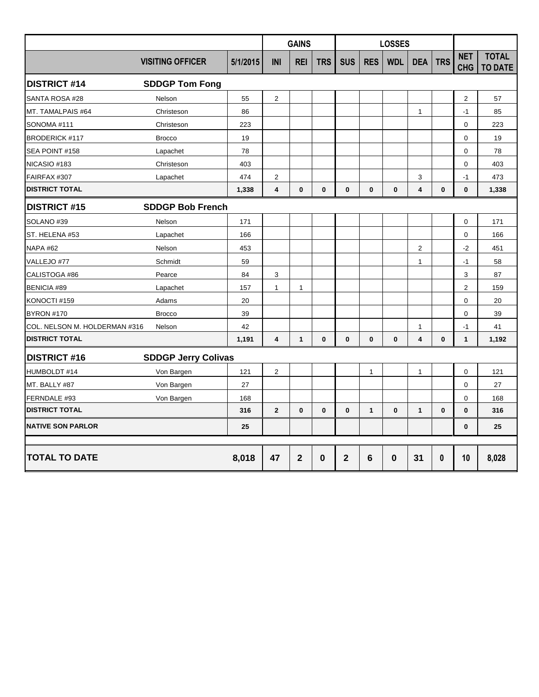|                               |                            |          | <b>GAINS</b>            |              |              |                |                 | <b>LOSSES</b> |                  |              |                          |                                |  |
|-------------------------------|----------------------------|----------|-------------------------|--------------|--------------|----------------|-----------------|---------------|------------------|--------------|--------------------------|--------------------------------|--|
|                               | <b>VISITING OFFICER</b>    | 5/1/2015 | INI                     | <b>REI</b>   | <b>TRS</b>   | <b>SUS</b>     | <b>RES</b>      | <b>WDL</b>    | <b>DEA</b>       | <b>TRS</b>   | <b>NET</b><br><b>CHG</b> | <b>TOTAL</b><br><b>TO DATE</b> |  |
| <b>DISTRICT #14</b>           | <b>SDDGP Tom Fong</b>      |          |                         |              |              |                |                 |               |                  |              |                          |                                |  |
| SANTA ROSA #28                | Nelson                     | 55       | $\overline{c}$          |              |              |                |                 |               |                  |              | 2                        | 57                             |  |
| MT. TAMALPAIS #64             | Christeson                 | 86       |                         |              |              |                |                 |               | 1                |              | -1                       | 85                             |  |
| SONOMA #111                   | Christeson                 | 223      |                         |              |              |                |                 |               |                  |              | 0                        | 223                            |  |
| <b>BRODERICK #117</b>         | <b>Brocco</b>              | 19       |                         |              |              |                |                 |               |                  |              | $\Omega$                 | 19                             |  |
| SEA POINT #158                | Lapachet                   | 78       |                         |              |              |                |                 |               |                  |              | $\Omega$                 | 78                             |  |
| NICASIO #183                  | Christeson                 | 403      |                         |              |              |                |                 |               |                  |              | $\Omega$                 | 403                            |  |
| FAIRFAX #307                  | Lapachet                   | 474      | $\overline{2}$          |              |              |                |                 |               | 3                |              | $-1$                     | 473                            |  |
| <b>DISTRICT TOTAL</b>         |                            | 1,338    | $\overline{\mathbf{4}}$ | $\mathbf 0$  | $\mathbf{0}$ | $\mathbf 0$    | $\mathbf 0$     | $\bf{0}$      | 4                | $\mathbf{0}$ | $\mathbf{0}$             | 1,338                          |  |
| <b>DISTRICT #15</b>           | <b>SDDGP Bob French</b>    |          |                         |              |              |                |                 |               |                  |              |                          |                                |  |
| SOLANO <sub>#39</sub>         | Nelson                     | 171      |                         |              |              |                |                 |               |                  |              | $\mathbf 0$              | 171                            |  |
| ST. HELENA #53                | Lapachet                   | 166      |                         |              |              |                |                 |               |                  |              | $\mathbf 0$              | 166                            |  |
| <b>NAPA #62</b>               | Nelson                     | 453      |                         |              |              |                |                 |               | $\boldsymbol{2}$ |              | $-2$                     | 451                            |  |
| VALLEJO #77                   | Schmidt                    | 59       |                         |              |              |                |                 |               | $\mathbf{1}$     |              | $-1$                     | 58                             |  |
| CALISTOGA #86                 | Pearce                     | 84       | 3                       |              |              |                |                 |               |                  |              | 3                        | 87                             |  |
| <b>BENICIA #89</b>            | Lapachet                   | 157      | $\mathbf{1}$            | 1            |              |                |                 |               |                  |              | $\overline{2}$           | 159                            |  |
| KONOCTI #159                  | Adams                      | 20       |                         |              |              |                |                 |               |                  |              | $\mathbf 0$              | 20                             |  |
| <b>BYRON #170</b>             | <b>Brocco</b>              | 39       |                         |              |              |                |                 |               |                  |              | $\mathbf 0$              | 39                             |  |
| COL. NELSON M. HOLDERMAN #316 | Nelson                     | 42       |                         |              |              |                |                 |               | $\mathbf{1}$     |              | $-1$                     | 41                             |  |
| <b>DISTRICT TOTAL</b>         |                            | 1,191    | 4                       | $\mathbf{1}$ | 0            | $\mathbf 0$    | $\mathbf{0}$    | $\bf{0}$      | 4                | 0            | $\mathbf{1}$             | 1,192                          |  |
| <b>DISTRICT #16</b>           | <b>SDDGP Jerry Colivas</b> |          |                         |              |              |                |                 |               |                  |              |                          |                                |  |
| HUMBOLDT #14                  | Von Bargen                 | 121      | $\overline{\mathbf{c}}$ |              |              |                | $\mathbf{1}$    |               | 1                |              | $\mathbf 0$              | 121                            |  |
| MT. BALLY #87                 | Von Bargen                 | 27       |                         |              |              |                |                 |               |                  |              | 0                        | 27                             |  |
| FERNDALE #93                  | Von Bargen                 | 168      |                         |              |              |                |                 |               |                  |              | $\mathbf 0$              | 168                            |  |
| <b>DISTRICT TOTAL</b>         |                            | 316      | $\overline{2}$          | $\mathbf 0$  | 0            | $\mathbf 0$    | $\mathbf{1}$    | $\mathbf 0$   | $\mathbf{1}$     | 0            | 0                        | 316                            |  |
| <b>NATIVE SON PARLOR</b>      |                            | 25       |                         |              |              |                |                 |               |                  |              | $\bf{0}$                 | 25                             |  |
|                               |                            |          |                         |              |              |                |                 |               |                  |              |                          |                                |  |
| <b>TOTAL TO DATE</b>          |                            | 8,018    | 47                      | $\mathbf{2}$ | $\bf{0}$     | $\overline{2}$ | $6\phantom{1}6$ | $\bf{0}$      | 31               | 0            | 10                       | 8,028                          |  |